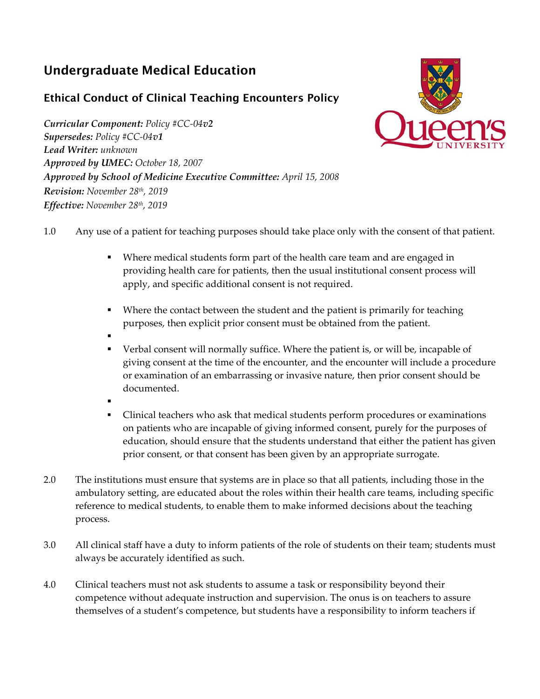## Undergraduate Medical Education

## Ethical Conduct of Clinical Teaching Encounters Policy

*Curricular Component: Policy #CC‐04v2 Supersedes: Policy #CC‐04v1 Lead Writer: unknown Approved by UMEC: October 18, 2007 Approved by School of Medicine Executive Committee: April 15, 2008 Revision: November 28th, 2019 Effective: November 28th, 2019*



- 1.0 Any use of a patient for teaching purposes should take place only with the consent of that patient.
	- Where medical students form part of the health care team and are engaged in providing health care for patients, then the usual institutional consent process will apply, and specific additional consent is not required.
	- Where the contact between the student and the patient is primarily for teaching purposes, then explicit prior consent must be obtained from the patient.
	- .
	- Verbal consent will normally suffice. Where the patient is, or will be, incapable of giving consent at the time of the encounter, and the encounter will include a procedure or examination of an embarrassing or invasive nature, then prior consent should be documented.
	- .
	- Clinical teachers who ask that medical students perform procedures or examinations on patients who are incapable of giving informed consent, purely for the purposes of education, should ensure that the students understand that either the patient has given prior consent, or that consent has been given by an appropriate surrogate.
- 2.0 The institutions must ensure that systems are in place so that all patients, including those in the ambulatory setting, are educated about the roles within their health care teams, including specific reference to medical students, to enable them to make informed decisions about the teaching process.
- 3.0 All clinical staff have a duty to inform patients of the role of students on their team; students must always be accurately identified as such.
- 4.0 Clinical teachers must not ask students to assume a task or responsibility beyond their competence without adequate instruction and supervision. The onus is on teachers to assure themselves of a student's competence, but students have a responsibility to inform teachers if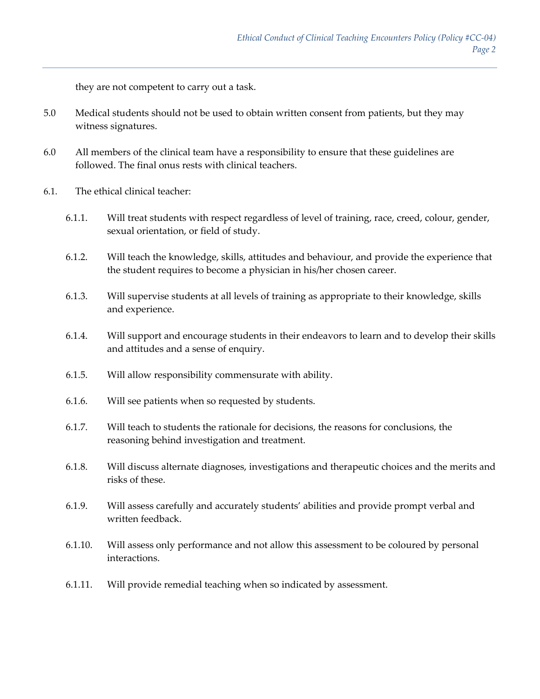they are not competent to carry out a task.

- 5.0 Medical students should not be used to obtain written consent from patients, but they may witness signatures.
- 6.0 All members of the clinical team have a responsibility to ensure that these guidelines are followed. The final onus rests with clinical teachers.
- 6.1. The ethical clinical teacher:
	- 6.1.1. Will treat students with respect regardless of level of training, race, creed, colour, gender, sexual orientation, or field of study.
	- 6.1.2. Will teach the knowledge, skills, attitudes and behaviour, and provide the experience that the student requires to become a physician in his/her chosen career.
	- 6.1.3. Will supervise students at all levels of training as appropriate to their knowledge, skills and experience.
	- 6.1.4. Will support and encourage students in their endeavors to learn and to develop their skills and attitudes and a sense of enquiry.
	- 6.1.5. Will allow responsibility commensurate with ability.
	- 6.1.6. Will see patients when so requested by students.
	- 6.1.7. Will teach to students the rationale for decisions, the reasons for conclusions, the reasoning behind investigation and treatment.
	- 6.1.8. Will discuss alternate diagnoses, investigations and therapeutic choices and the merits and risks of these.
	- 6.1.9. Will assess carefully and accurately students' abilities and provide prompt verbal and written feedback.
	- 6.1.10. Will assess only performance and not allow this assessment to be coloured by personal interactions.
	- 6.1.11. Will provide remedial teaching when so indicated by assessment.